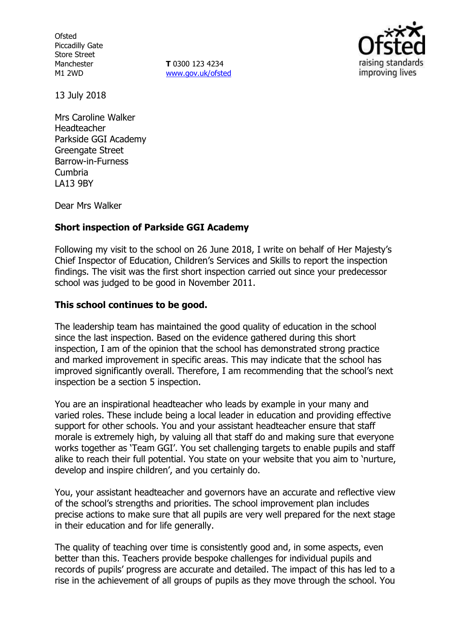**Ofsted** Piccadilly Gate Store Street Manchester M1 2WD

**T** 0300 123 4234 www.gov.uk/ofsted



13 July 2018

Mrs Caroline Walker Headteacher Parkside GGI Academy Greengate Street Barrow-in-Furness Cumbria LA13 9BY

Dear Mrs Walker

# **Short inspection of Parkside GGI Academy**

Following my visit to the school on 26 June 2018, I write on behalf of Her Majesty's Chief Inspector of Education, Children's Services and Skills to report the inspection findings. The visit was the first short inspection carried out since your predecessor school was judged to be good in November 2011.

# **This school continues to be good.**

The leadership team has maintained the good quality of education in the school since the last inspection. Based on the evidence gathered during this short inspection, I am of the opinion that the school has demonstrated strong practice and marked improvement in specific areas. This may indicate that the school has improved significantly overall. Therefore, I am recommending that the school's next inspection be a section 5 inspection.

You are an inspirational headteacher who leads by example in your many and varied roles. These include being a local leader in education and providing effective support for other schools. You and your assistant headteacher ensure that staff morale is extremely high, by valuing all that staff do and making sure that everyone works together as 'Team GGI'. You set challenging targets to enable pupils and staff alike to reach their full potential. You state on your website that you aim to 'nurture, develop and inspire children', and you certainly do.

You, your assistant headteacher and governors have an accurate and reflective view of the school's strengths and priorities. The school improvement plan includes precise actions to make sure that all pupils are very well prepared for the next stage in their education and for life generally.

The quality of teaching over time is consistently good and, in some aspects, even better than this. Teachers provide bespoke challenges for individual pupils and records of pupils' progress are accurate and detailed. The impact of this has led to a rise in the achievement of all groups of pupils as they move through the school. You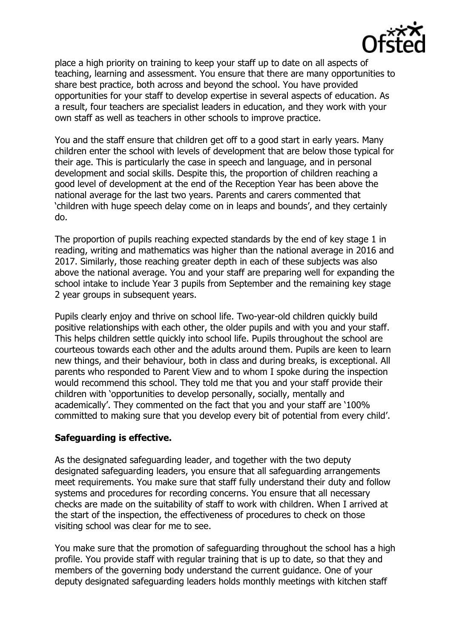

place a high priority on training to keep your staff up to date on all aspects of teaching, learning and assessment. You ensure that there are many opportunities to share best practice, both across and beyond the school. You have provided opportunities for your staff to develop expertise in several aspects of education. As a result, four teachers are specialist leaders in education, and they work with your own staff as well as teachers in other schools to improve practice.

You and the staff ensure that children get off to a good start in early years. Many children enter the school with levels of development that are below those typical for their age. This is particularly the case in speech and language, and in personal development and social skills. Despite this, the proportion of children reaching a good level of development at the end of the Reception Year has been above the national average for the last two years. Parents and carers commented that 'children with huge speech delay come on in leaps and bounds', and they certainly do.

The proportion of pupils reaching expected standards by the end of key stage 1 in reading, writing and mathematics was higher than the national average in 2016 and 2017. Similarly, those reaching greater depth in each of these subjects was also above the national average. You and your staff are preparing well for expanding the school intake to include Year 3 pupils from September and the remaining key stage 2 year groups in subsequent years.

Pupils clearly enjoy and thrive on school life. Two-year-old children quickly build positive relationships with each other, the older pupils and with you and your staff. This helps children settle quickly into school life. Pupils throughout the school are courteous towards each other and the adults around them. Pupils are keen to learn new things, and their behaviour, both in class and during breaks, is exceptional. All parents who responded to Parent View and to whom I spoke during the inspection would recommend this school. They told me that you and your staff provide their children with 'opportunities to develop personally, socially, mentally and academically'. They commented on the fact that you and your staff are '100% committed to making sure that you develop every bit of potential from every child'.

# **Safeguarding is effective.**

As the designated safeguarding leader, and together with the two deputy designated safeguarding leaders, you ensure that all safeguarding arrangements meet requirements. You make sure that staff fully understand their duty and follow systems and procedures for recording concerns. You ensure that all necessary checks are made on the suitability of staff to work with children. When I arrived at the start of the inspection, the effectiveness of procedures to check on those visiting school was clear for me to see.

You make sure that the promotion of safeguarding throughout the school has a high profile. You provide staff with regular training that is up to date, so that they and members of the governing body understand the current guidance. One of your deputy designated safeguarding leaders holds monthly meetings with kitchen staff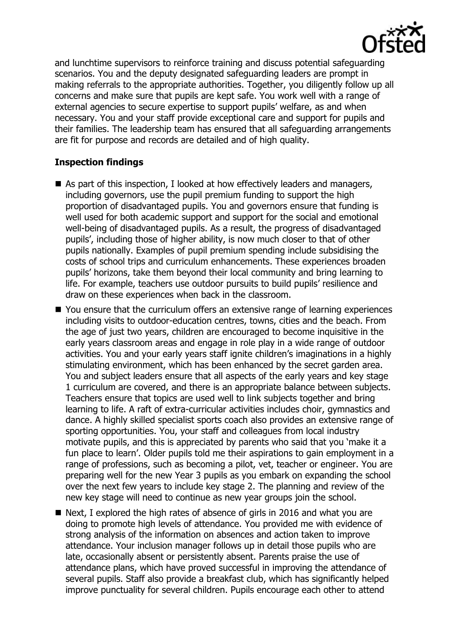

and lunchtime supervisors to reinforce training and discuss potential safeguarding scenarios. You and the deputy designated safeguarding leaders are prompt in making referrals to the appropriate authorities. Together, you diligently follow up all concerns and make sure that pupils are kept safe. You work well with a range of external agencies to secure expertise to support pupils' welfare, as and when necessary. You and your staff provide exceptional care and support for pupils and their families. The leadership team has ensured that all safeguarding arrangements are fit for purpose and records are detailed and of high quality.

# **Inspection findings**

- As part of this inspection, I looked at how effectively leaders and managers, including governors, use the pupil premium funding to support the high proportion of disadvantaged pupils. You and governors ensure that funding is well used for both academic support and support for the social and emotional well-being of disadvantaged pupils. As a result, the progress of disadvantaged pupils', including those of higher ability, is now much closer to that of other pupils nationally. Examples of pupil premium spending include subsidising the costs of school trips and curriculum enhancements. These experiences broaden pupils' horizons, take them beyond their local community and bring learning to life. For example, teachers use outdoor pursuits to build pupils' resilience and draw on these experiences when back in the classroom.
- You ensure that the curriculum offers an extensive range of learning experiences including visits to outdoor-education centres, towns, cities and the beach. From the age of just two years, children are encouraged to become inquisitive in the early years classroom areas and engage in role play in a wide range of outdoor activities. You and your early years staff ignite children's imaginations in a highly stimulating environment, which has been enhanced by the secret garden area. You and subject leaders ensure that all aspects of the early years and key stage 1 curriculum are covered, and there is an appropriate balance between subjects. Teachers ensure that topics are used well to link subjects together and bring learning to life. A raft of extra-curricular activities includes choir, gymnastics and dance. A highly skilled specialist sports coach also provides an extensive range of sporting opportunities. You, your staff and colleagues from local industry motivate pupils, and this is appreciated by parents who said that you 'make it a fun place to learn'. Older pupils told me their aspirations to gain employment in a range of professions, such as becoming a pilot, vet, teacher or engineer. You are preparing well for the new Year 3 pupils as you embark on expanding the school over the next few years to include key stage 2. The planning and review of the new key stage will need to continue as new year groups join the school.
- Next, I explored the high rates of absence of girls in 2016 and what you are doing to promote high levels of attendance. You provided me with evidence of strong analysis of the information on absences and action taken to improve attendance. Your inclusion manager follows up in detail those pupils who are late, occasionally absent or persistently absent. Parents praise the use of attendance plans, which have proved successful in improving the attendance of several pupils. Staff also provide a breakfast club, which has significantly helped improve punctuality for several children. Pupils encourage each other to attend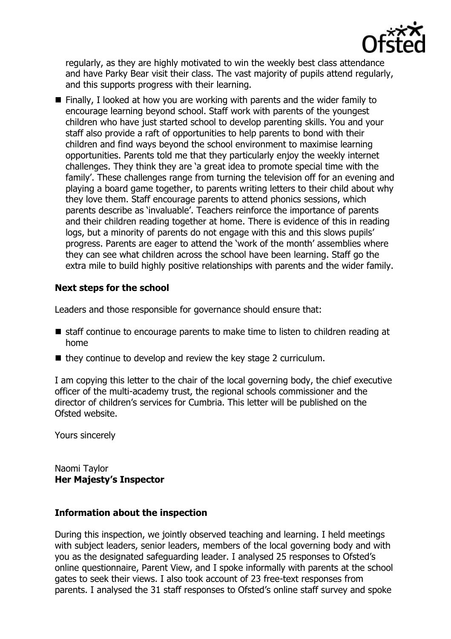

regularly, as they are highly motivated to win the weekly best class attendance and have Parky Bear visit their class. The vast majority of pupils attend regularly, and this supports progress with their learning.

■ Finally, I looked at how you are working with parents and the wider family to encourage learning beyond school. Staff work with parents of the youngest children who have just started school to develop parenting skills. You and your staff also provide a raft of opportunities to help parents to bond with their children and find ways beyond the school environment to maximise learning opportunities. Parents told me that they particularly enjoy the weekly internet challenges. They think they are 'a great idea to promote special time with the family'. These challenges range from turning the television off for an evening and playing a board game together, to parents writing letters to their child about why they love them. Staff encourage parents to attend phonics sessions, which parents describe as 'invaluable'. Teachers reinforce the importance of parents and their children reading together at home. There is evidence of this in reading logs, but a minority of parents do not engage with this and this slows pupils' progress. Parents are eager to attend the 'work of the month' assemblies where they can see what children across the school have been learning. Staff go the extra mile to build highly positive relationships with parents and the wider family.

# **Next steps for the school**

Leaders and those responsible for governance should ensure that:

- staff continue to encourage parents to make time to listen to children reading at home
- $\blacksquare$  they continue to develop and review the key stage 2 curriculum.

I am copying this letter to the chair of the local governing body, the chief executive officer of the multi-academy trust, the regional schools commissioner and the director of children's services for Cumbria. This letter will be published on the Ofsted website.

Yours sincerely

Naomi Taylor **Her Majesty's Inspector**

# **Information about the inspection**

During this inspection, we jointly observed teaching and learning. I held meetings with subject leaders, senior leaders, members of the local governing body and with you as the designated safeguarding leader. I analysed 25 responses to Ofsted's online questionnaire, Parent View, and I spoke informally with parents at the school gates to seek their views. I also took account of 23 free-text responses from parents. I analysed the 31 staff responses to Ofsted's online staff survey and spoke